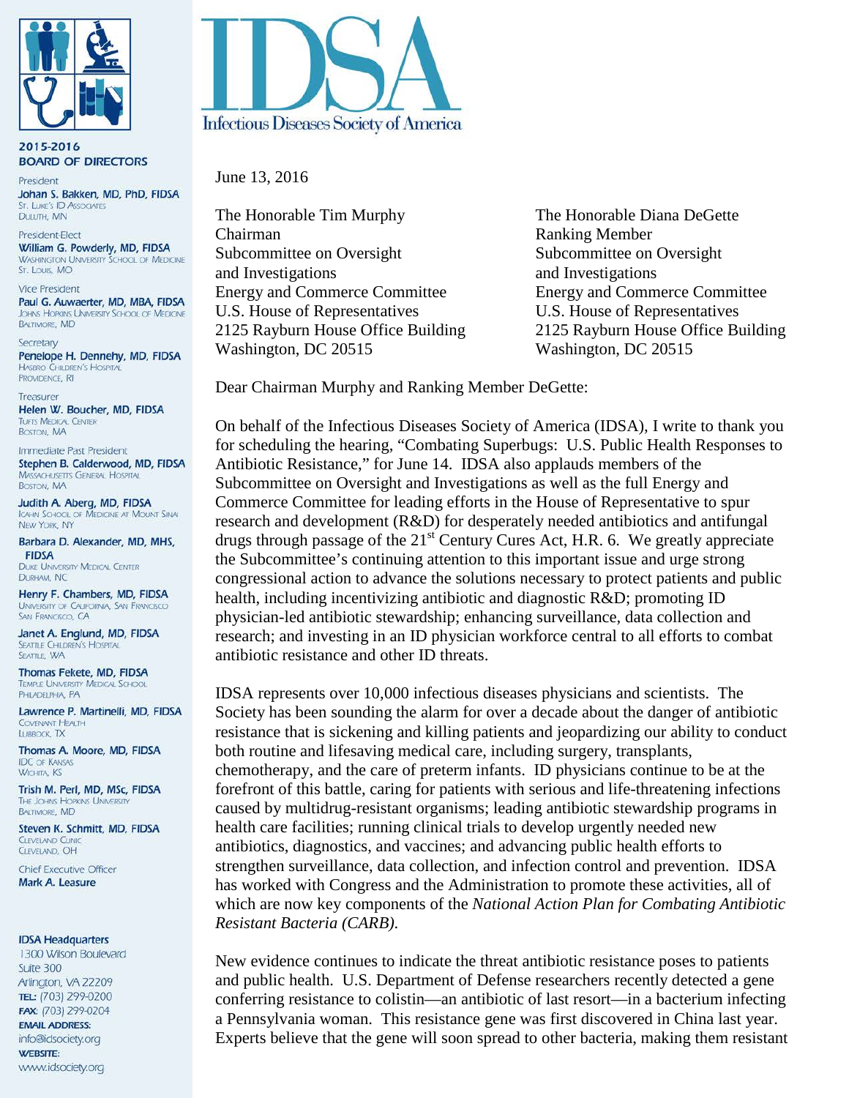

2015-2016 **BOARD OF DIRECTORS** 

President Johan S. Bakken, MD, PhD, FIDSA **ST. LUKE'S ID ASSOCIATES** DULUTH, MN

President-Elect William G. Powderly, MD, FIDSA **WASHINGTON UNIVERSITY SCHOOL OF MEDICINE** St. Louis, MO

**Vice President** Paul G. Auwaerter, MD, MBA, FIDSA **JOHNS HOPKINS UNIVERSITY SCHOOL OF MEDICINE** BALTIMORE, MD

Secretary Penelope H. Dennehy, MD, FIDSA **HASBRO CHILDREN'S HOSPITAL** PROVIDENCE, RI

Treasurer Helen W. Boucher, MD, FIDSA **TUFTS MEDICAL CENTER BOSTON, MA** 

Immediate Past President Stephen B. Calderwood, MD, FIDSA **MASSACHUSETTS GENERAL HOSPITAL BOSTON, MA** 

Judith A. Aberg, MD, FIDSA ICAHN SCHOOL OF MEDICINE AT MOUNT SINAL NEW YORK, NY

Barbara D. Alexander, MD, MHS, **FIDSA** 

**DUKE UNIVERSITY MEDICAL CENTER** DURHAM, NC

Henry F. Chambers, MD, FIDSA UNIVERSITY OF CALIFORNIA, SAN FRANCISCO SAN FRANCISCO, CA

Janet A. Englund, MD, FIDSA **SEATTLE CHILDREN'S HOSPITAL** SEATTLE, WA

Thomas Fekete, MD, FIDSA **TEMPLE UNIVERSITY MEDICAL SCHOOL** PHILADELPHIA, PA

Lawrence P. Martinelli, MD, FIDSA **COVENANT HEALTH** LUBBOCK, TX

Thomas A. Moore, MD, FIDSA **IDC OF KANSAS WICHITA KS** 

Trish M. Perl, MD, MSc, FIDSA THE JOHNS HOPKINS UNIVERSITY **BALTIMORE, MD** 

Steven K. Schmitt, MD, FIDSA **CIEVELAND CLINIC** CLEVELAND, OH

Chief Executive Officer Mark A. Leasure

#### **IDSA Headquarters**

1300 Wilson Boulevard Suite 300 Arlington, VA 22209 TEL: (703) 299-0200 FAX: (703) 299-0204 **EMAIL ADDRESS:** info@idsociety.org **WEBSITE:** www.idsociety.org



June 13, 2016

The Honorable Tim Murphy The Honorable Diana DeGette Chairman Ranking Member Subcommittee on Oversight Subcommittee on Oversight and Investigations and Investigations Energy and Commerce Committee Energy and Commerce Committee U.S. House of Representatives U.S. House of Representatives Washington, DC 20515 Washington, DC 20515

2125 Rayburn House Office Building 2125 Rayburn House Office Building

Dear Chairman Murphy and Ranking Member DeGette:

On behalf of the Infectious Diseases Society of America (IDSA), I write to thank you for scheduling the hearing, "Combating Superbugs: U.S. Public Health Responses to Antibiotic Resistance," for June 14. IDSA also applauds members of the Subcommittee on Oversight and Investigations as well as the full Energy and Commerce Committee for leading efforts in the House of Representative to spur research and development (R&D) for desperately needed antibiotics and antifungal drugs through passage of the  $21<sup>st</sup>$  Century Cures Act, H.R. 6. We greatly appreciate the Subcommittee's continuing attention to this important issue and urge strong congressional action to advance the solutions necessary to protect patients and public health, including incentivizing antibiotic and diagnostic R&D; promoting ID physician-led antibiotic stewardship; enhancing surveillance, data collection and research; and investing in an ID physician workforce central to all efforts to combat antibiotic resistance and other ID threats.

IDSA represents over 10,000 infectious diseases physicians and scientists. The Society has been sounding the alarm for over a decade about the danger of antibiotic resistance that is sickening and killing patients and jeopardizing our ability to conduct both routine and lifesaving medical care, including surgery, transplants, chemotherapy, and the care of preterm infants. ID physicians continue to be at the forefront of this battle, caring for patients with serious and life-threatening infections caused by multidrug-resistant organisms; leading antibiotic stewardship programs in health care facilities; running clinical trials to develop urgently needed new antibiotics, diagnostics, and vaccines; and advancing public health efforts to strengthen surveillance, data collection, and infection control and prevention. IDSA has worked with Congress and the Administration to promote these activities, all of which are now key components of the *National Action Plan for Combating Antibiotic Resistant Bacteria (CARB)*.

New evidence continues to indicate the threat antibiotic resistance poses to patients and public health. U.S. Department of Defense researchers recently detected a gene conferring resistance to colistin—an antibiotic of last resort—in a bacterium infecting a Pennsylvania woman. This resistance gene was first discovered in China last year. Experts believe that the gene will soon spread to other bacteria, making them resistant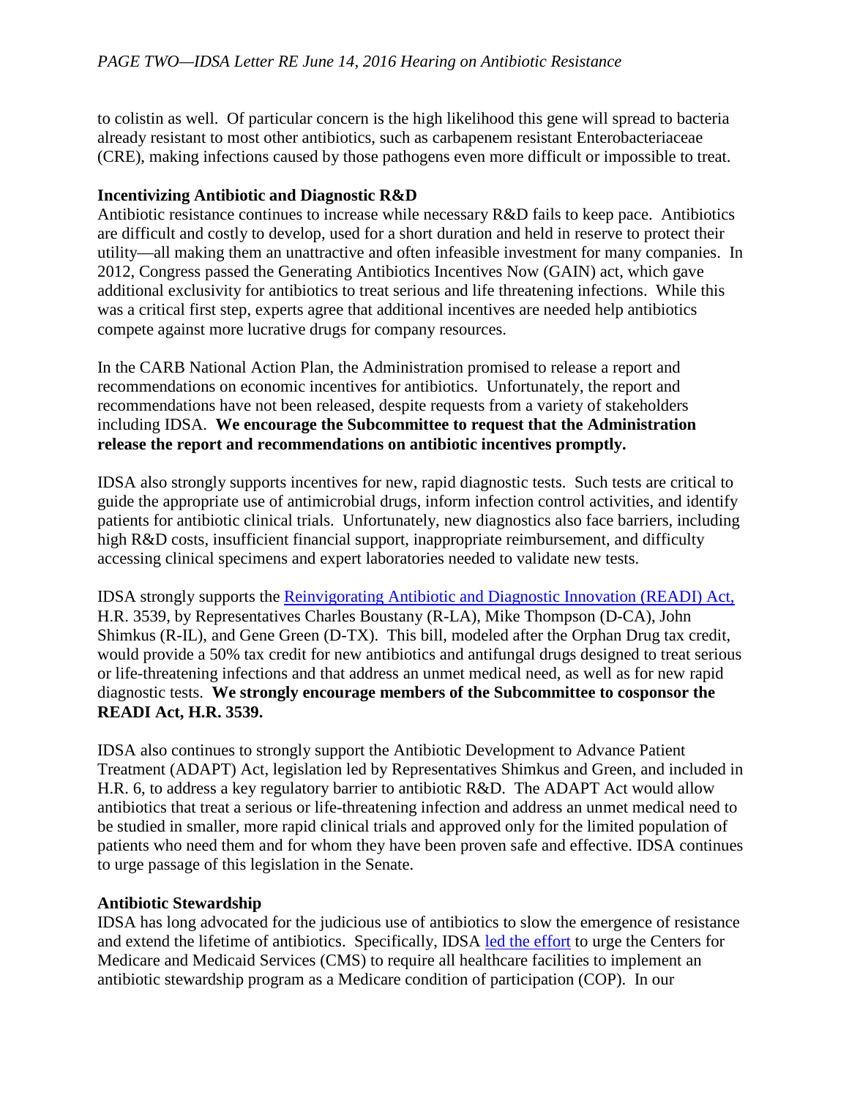to colistin as well. Of particular concern is the high likelihood this gene will spread to bacteria already resistant to most other antibiotics, such as carbapenem resistant Enterobacteriaceae (CRE), making infections caused by those pathogens even more difficult or impossible to treat.

## **Incentivizing Antibiotic and Diagnostic R&D**

Antibiotic resistance continues to increase while necessary R&D fails to keep pace. Antibiotics are difficult and costly to develop, used for a short duration and held in reserve to protect their utility—all making them an unattractive and often infeasible investment for many companies. In 2012, Congress passed the Generating Antibiotics Incentives Now (GAIN) act, which gave additional exclusivity for antibiotics to treat serious and life threatening infections. While this was a critical first step, experts agree that additional incentives are needed help antibiotics compete against more lucrative drugs for company resources.

In the CARB National Action Plan, the Administration promised to release a report and recommendations on economic incentives for antibiotics. Unfortunately, the report and recommendations have not been released, despite requests from a variety of stakeholders including IDSA. **We encourage the Subcommittee to request that the Administration release the report and recommendations on antibiotic incentives promptly.**

IDSA also strongly supports incentives for new, rapid diagnostic tests. Such tests are critical to guide the appropriate use of antimicrobial drugs, inform infection control activities, and identify patients for antibiotic clinical trials. Unfortunately, new diagnostics also face barriers, including high R&D costs, insufficient financial support, inappropriate reimbursement, and difficulty accessing clinical specimens and expert laboratories needed to validate new tests.

IDSA strongly supports the [Reinvigorating Antibiotic and Diagnostic Innovation \(READI\) Act,](http://www.idsociety.org/uploadedFiles/IDSA/Policy_and_Advocacy/Current_Topics_and_Issues/Antimicrobial_Resistance/10x20/Letters/To_Congress/Antibiotic%20and%20Diagnostic%20Tax%20Credit%20Stakeholder%20Letter%20Sept.%202015%20FINAL.pdf) H.R. 3539, by Representatives Charles Boustany (R-LA), Mike Thompson (D-CA), John Shimkus (R-IL), and Gene Green (D-TX). This bill, modeled after the Orphan Drug tax credit, would provide a 50% tax credit for new antibiotics and antifungal drugs designed to treat serious or life-threatening infections and that address an unmet medical need, as well as for new rapid diagnostic tests. **We strongly encourage members of the Subcommittee to cosponsor the READI Act, H.R. 3539.** 

IDSA also continues to strongly support the Antibiotic Development to Advance Patient Treatment (ADAPT) Act, legislation led by Representatives Shimkus and Green, and included in H.R. 6, to address a key regulatory barrier to antibiotic R&D. The ADAPT Act would allow antibiotics that treat a serious or life-threatening infection and address an unmet medical need to be studied in smaller, more rapid clinical trials and approved only for the limited population of patients who need them and for whom they have been proven safe and effective. IDSA continues to urge passage of this legislation in the Senate.

# **Antibiotic Stewardship**

IDSA has long advocated for the judicious use of antibiotics to slow the emergence of resistance and extend the lifetime of antibiotics. Specifically, IDSA [led the effort](http://www.idsociety.org/uploadedFiles/IDSA/Policy_and_Advocacy/Current_Topics_and_Issues/Access_and_Reimbursement/2014/CMS%20Stewardship%20Stakeholder%20Letter.pdf) to urge the Centers for Medicare and Medicaid Services (CMS) to require all healthcare facilities to implement an antibiotic stewardship program as a Medicare condition of participation (COP). In our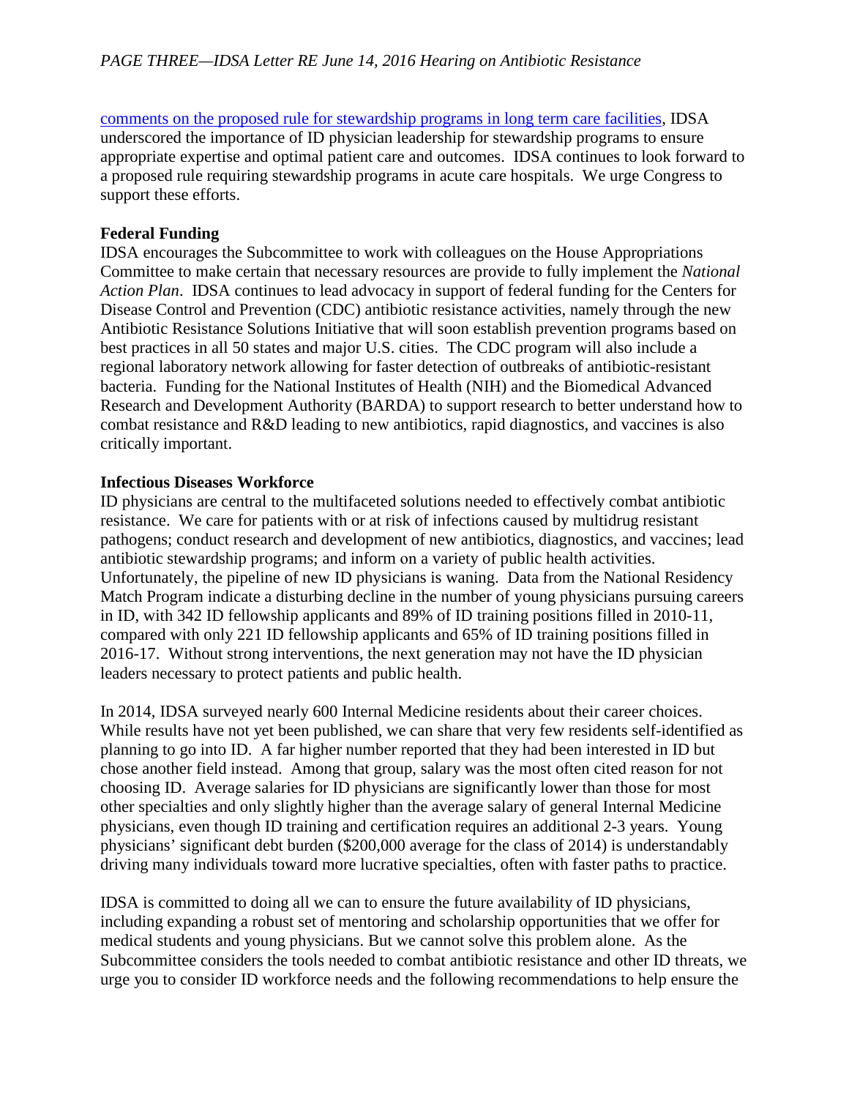[comments on the proposed rule for stewardship programs in long term care facilities,](http://www.idsociety.org/uploadedFiles/IDSA/Policy_and_Advocacy/Current_Topics_and_Issues/Access_and_Reimbursement/2015/IDSA%20LTCF%20CoP%20Comments_Final.pdf) IDSA underscored the importance of ID physician leadership for stewardship programs to ensure appropriate expertise and optimal patient care and outcomes. IDSA continues to look forward to a proposed rule requiring stewardship programs in acute care hospitals. We urge Congress to support these efforts.

### **Federal Funding**

IDSA encourages the Subcommittee to work with colleagues on the House Appropriations Committee to make certain that necessary resources are provide to fully implement the *National Action Plan*. IDSA continues to lead advocacy in support of federal funding for the Centers for Disease Control and Prevention (CDC) antibiotic resistance activities, namely through the new Antibiotic Resistance Solutions Initiative that will soon establish prevention programs based on best practices in all 50 states and major U.S. cities. The CDC program will also include a regional laboratory network allowing for faster detection of outbreaks of antibiotic-resistant bacteria. Funding for the National Institutes of Health (NIH) and the Biomedical Advanced Research and Development Authority (BARDA) to support research to better understand how to combat resistance and R&D leading to new antibiotics, rapid diagnostics, and vaccines is also critically important.

#### **Infectious Diseases Workforce**

ID physicians are central to the multifaceted solutions needed to effectively combat antibiotic resistance. We care for patients with or at risk of infections caused by multidrug resistant pathogens; conduct research and development of new antibiotics, diagnostics, and vaccines; lead antibiotic stewardship programs; and inform on a variety of public health activities. Unfortunately, the pipeline of new ID physicians is waning. Data from the National Residency Match Program indicate a disturbing decline in the number of young physicians pursuing careers in ID, with 342 ID fellowship applicants and 89% of ID training positions filled in 2010-11, compared with only 221 ID fellowship applicants and 65% of ID training positions filled in 2016-17. Without strong interventions, the next generation may not have the ID physician leaders necessary to protect patients and public health.

In 2014, IDSA surveyed nearly 600 Internal Medicine residents about their career choices. While results have not yet been published, we can share that very few residents self-identified as planning to go into ID. A far higher number reported that they had been interested in ID but chose another field instead. Among that group, salary was the most often cited reason for not choosing ID. Average salaries for ID physicians are significantly lower than those for most other specialties and only slightly higher than the average salary of general Internal Medicine physicians, even though ID training and certification requires an additional 2-3 years. Young physicians' significant debt burden (\$200,000 average for the class of 2014) is understandably driving many individuals toward more lucrative specialties, often with faster paths to practice.

IDSA is committed to doing all we can to ensure the future availability of ID physicians, including expanding a robust set of mentoring and scholarship opportunities that we offer for medical students and young physicians. But we cannot solve this problem alone. As the Subcommittee considers the tools needed to combat antibiotic resistance and other ID threats, we urge you to consider ID workforce needs and the following recommendations to help ensure the